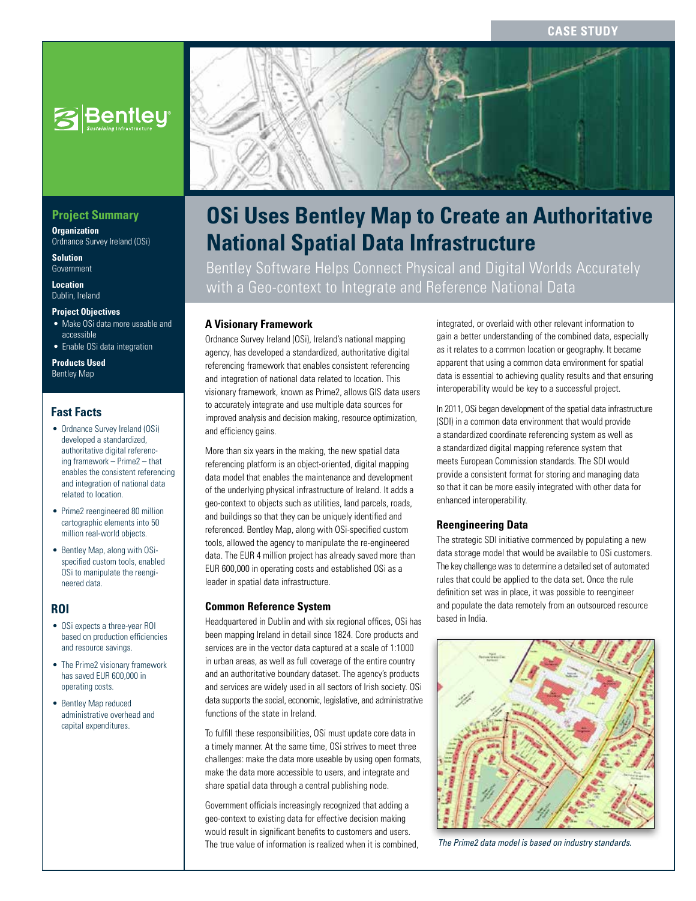

# **Project Summary**

**Organization** Ordnance Survey Ireland (OSi)

**Solution** Government

**Location** Dublin, Ireland

#### **Project Objectives**

- Make OSi data more useable and accessible
- Enable OSi data integration

**Products Used** Bentley Map

# **Fast Facts**

- Ordnance Survey Ireland (OSi) developed a standardized, authoritative digital referencing framework – Prime2 – that enables the consistent referencing and integration of national data related to location.
- Prime2 reengineered 80 million cartographic elements into 50 million real-world objects.
- Bentley Map, along with OSispecified custom tools, enabled OSi to manipulate the reengineered data.

# **ROI**

- OSi expects a three-year ROI based on production efficiencies and resource savings.
- The Prime2 visionary framework has saved EUR 600,000 in operating costs.
- Bentley Map reduced administrative overhead and capital expenditures.



# **OSi Uses Bentley Map to Create an Authoritative National Spatial Data Infrastructure**

Bentley Software Helps Connect Physical and Digital Worlds Accurately with a Geo-context to Integrate and Reference National Data

# **A Visionary Framework**

Ordnance Survey Ireland (OSi), Ireland's national mapping agency, has developed a standardized, authoritative digital referencing framework that enables consistent referencing and integration of national data related to location. This visionary framework, known as Prime2, allows GIS data users to accurately integrate and use multiple data sources for improved analysis and decision making, resource optimization, and efficiency gains.

More than six years in the making, the new spatial data referencing platform is an object-oriented, digital mapping data model that enables the maintenance and development of the underlying physical infrastructure of Ireland. It adds a geo-context to objects such as utilities, land parcels, roads, and buildings so that they can be uniquely identified and referenced. Bentley Map, along with OSi-specified custom tools, allowed the agency to manipulate the re-engineered data. The EUR 4 million project has already saved more than EUR 600,000 in operating costs and established OSi as a leader in spatial data infrastructure.

#### **Common Reference System**

Headquartered in Dublin and with six regional offices, OSi has been mapping Ireland in detail since 1824. Core products and services are in the vector data captured at a scale of 1:1000 in urban areas, as well as full coverage of the entire country and an authoritative boundary dataset. The agency's products and services are widely used in all sectors of Irish society. OSi data supports the social, economic, legislative, and administrative functions of the state in Ireland.

To fulfill these responsibilities, OSi must update core data in a timely manner. At the same time, OSi strives to meet three challenges: make the data more useable by using open formats, make the data more accessible to users, and integrate and share spatial data through a central publishing node.

Government officials increasingly recognized that adding a geo-context to existing data for effective decision making would result in significant benefits to customers and users. The true value of information is realized when it is combined,

integrated, or overlaid with other relevant information to gain a better understanding of the combined data, especially as it relates to a common location or geography. It became apparent that using a common data environment for spatial data is essential to achieving quality results and that ensuring interoperability would be key to a successful project.

In 2011, OSi began development of the spatial data infrastructure (SDI) in a common data environment that would provide a standardized coordinate referencing system as well as a standardized digital mapping reference system that meets European Commission standards. The SDI would provide a consistent format for storing and managing data so that it can be more easily integrated with other data for enhanced interoperability.

#### **Reengineering Data**

The strategic SDI initiative commenced by populating a new data storage model that would be available to OSi customers. The key challenge was to determine a detailed set of automated rules that could be applied to the data set. Once the rule definition set was in place, it was possible to reengineer and populate the data remotely from an outsourced resource based in India.



*The Prime2 data model is based on industry standards.*